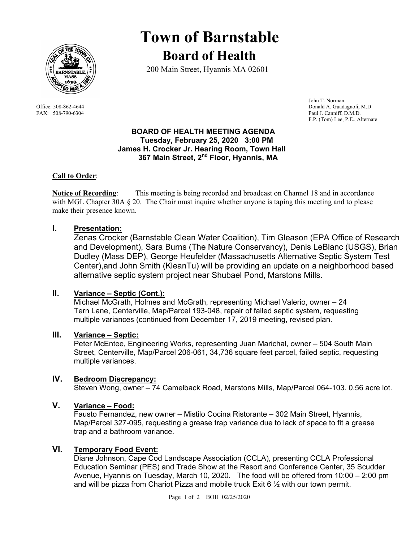

# **Town of Barnstable Board of Health**

200 Main Street, Hyannis MA 02601

 John T. Norman. Office: 508-862-4644 Donald A. Guadagnoli, M.D FAX: 508-790-6304 Paul J. Canniff, D.M.D. F.P. (Tom) Lee, P.E., Alternate

#### **BOARD OF HEALTH MEETING AGENDA Tuesday, February 25, 2020 3:00 PM James H. Crocker Jr. Hearing Room, Town Hall 367 Main Street, 2nd Floor, Hyannis, MA**

#### **Call to Order**:

**Notice of Recording**: This meeting is being recorded and broadcast on Channel 18 and in accordance with MGL Chapter 30A  $\S 20$ . The Chair must inquire whether anyone is taping this meeting and to please make their presence known.

#### **I. Presentation:**

Zenas Crocker (Barnstable Clean Water Coalition), Tim Gleason (EPA Office of Research and Development), Sara Burns (The Nature Conservancy), Denis LeBlanc (USGS), Brian Dudley (Mass DEP), George Heufelder (Massachusetts Alternative Septic System Test Center),and John Smith (KleanTu) will be providing an update on a neighborhood based alternative septic system project near Shubael Pond, Marstons Mills.

#### **II. Variance – Septic (Cont.):**

Michael McGrath, Holmes and McGrath, representing Michael Valerio, owner – 24 Tern Lane, Centerville, Map/Parcel 193-048, repair of failed septic system, requesting multiple variances (continued from December 17, 2019 meeting, revised plan.

#### **III. Variance – Septic:**

Peter McEntee, Engineering Works, representing Juan Marichal, owner – 504 South Main Street, Centerville, Map/Parcel 206-061, 34,736 square feet parcel, failed septic, requesting multiple variances.

#### **IV. Bedroom Discrepancy:**

Steven Wong, owner – 74 Camelback Road, Marstons Mills, Map/Parcel 064-103. 0.56 acre lot.

### **V. Variance – Food:**

Fausto Fernandez, new owner – Mistilo Cocina Ristorante – 302 Main Street, Hyannis, Map/Parcel 327-095, requesting a grease trap variance due to lack of space to fit a grease trap and a bathroom variance.

#### **VI. Temporary Food Event:**

Diane Johnson, Cape Cod Landscape Association (CCLA), presenting CCLA Professional Education Seminar (PES) and Trade Show at the Resort and Conference Center, 35 Scudder Avenue, Hyannis on Tuesday, March 10, 2020. The food will be offered from 10:00 – 2:00 pm and will be pizza from Chariot Pizza and mobile truck Exit 6  $\frac{1}{2}$  with our town permit.